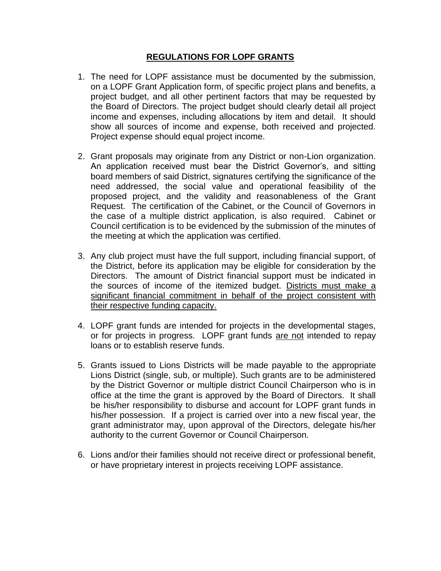## **REGULATIONS FOR LOPF GRANTS**

- 1. The need for LOPF assistance must be documented by the submission, on a LOPF Grant Application form, of specific project plans and benefits, a project budget, and all other pertinent factors that may be requested by the Board of Directors. The project budget should clearly detail all project income and expenses, including allocations by item and detail. It should show all sources of income and expense, both received and projected. Project expense should equal project income.
- 2. Grant proposals may originate from any District or non-Lion organization. An application received must bear the District Governor's, and sitting board members of said District, signatures certifying the significance of the need addressed, the social value and operational feasibility of the proposed project, and the validity and reasonableness of the Grant Request. The certification of the Cabinet, or the Council of Governors in the case of a multiple district application, is also required. Cabinet or Council certification is to be evidenced by the submission of the minutes of the meeting at which the application was certified.
- 3. Any club project must have the full support, including financial support, of the District, before its application may be eligible for consideration by the Directors. The amount of District financial support must be indicated in the sources of income of the itemized budget. Districts must make a significant financial commitment in behalf of the project consistent with their respective funding capacity.
- 4. LOPF grant funds are intended for projects in the developmental stages, or for projects in progress. LOPF grant funds are not intended to repay loans or to establish reserve funds.
- 5. Grants issued to Lions Districts will be made payable to the appropriate Lions District (single, sub, or multiple). Such grants are to be administered by the District Governor or multiple district Council Chairperson who is in office at the time the grant is approved by the Board of Directors. It shall be his/her responsibility to disburse and account for LOPF grant funds in his/her possession. If a project is carried over into a new fiscal year, the grant administrator may, upon approval of the Directors, delegate his/her authority to the current Governor or Council Chairperson.
- 6. Lions and/or their families should not receive direct or professional benefit, or have proprietary interest in projects receiving LOPF assistance.